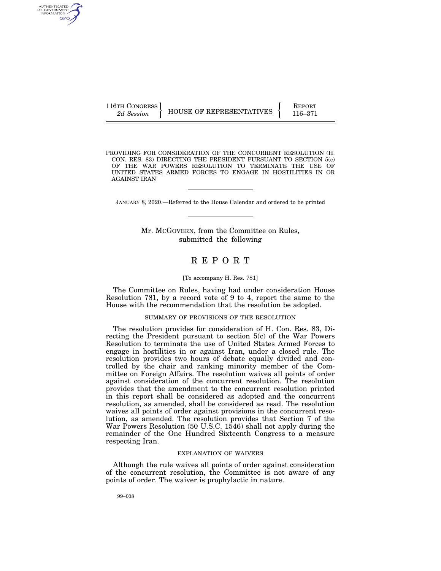AUTHENTICATED U.S. GOVERNMENT GPO

116TH CONGRESS HOUSE OF REPRESENTATIVES FEPORT 116–371

PROVIDING FOR CONSIDERATION OF THE CONCURRENT RESOLUTION (H. CON. RES. 83) DIRECTING THE PRESIDENT PURSUANT TO SECTION 5(c) OF THE WAR POWERS RESOLUTION TO TERMINATE THE USE OF UNITED STATES ARMED FORCES TO ENGAGE IN HOSTILITIES IN OR AGAINST IRAN

JANUARY 8, 2020.—Referred to the House Calendar and ordered to be printed

Mr. MCGOVERN, from the Committee on Rules, submitted the following

# R E P O R T

#### [To accompany H. Res. 781]

The Committee on Rules, having had under consideration House Resolution 781, by a record vote of 9 to 4, report the same to the House with the recommendation that the resolution be adopted.

### SUMMARY OF PROVISIONS OF THE RESOLUTION

The resolution provides for consideration of H. Con. Res. 83, Directing the President pursuant to section 5(c) of the War Powers Resolution to terminate the use of United States Armed Forces to engage in hostilities in or against Iran, under a closed rule. The resolution provides two hours of debate equally divided and controlled by the chair and ranking minority member of the Committee on Foreign Affairs. The resolution waives all points of order against consideration of the concurrent resolution. The resolution provides that the amendment to the concurrent resolution printed in this report shall be considered as adopted and the concurrent resolution, as amended, shall be considered as read. The resolution waives all points of order against provisions in the concurrent resolution, as amended. The resolution provides that Section 7 of the War Powers Resolution (50 U.S.C. 1546) shall not apply during the remainder of the One Hundred Sixteenth Congress to a measure respecting Iran.

#### EXPLANATION OF WAIVERS

Although the rule waives all points of order against consideration of the concurrent resolution, the Committee is not aware of any points of order. The waiver is prophylactic in nature.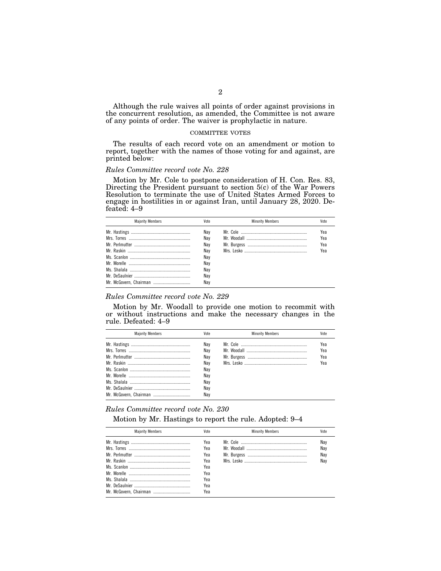Although the rule waives all points of order against provisions in the concurrent resolution, as amended, the Committee is not aware of any points of order. The waiver is prophylactic in nature.

#### COMMITTEE VOTES

The results of each record vote on an amendment or motion to report, together with the names of those voting for and against, are printed below:

# *Rules Committee record vote No. 228*

Motion by Mr. Cole to postpone consideration of H. Con. Res. 83, Directing the President pursuant to section 5(c) of the War Powers Resolution to terminate the use of United States Armed Forces to engage in hostilities in or against Iran, until January 28, 2020. Defeated: 4–9

| <b>Maiority Members</b> | Vote | <b>Minority Members</b> | Vote |
|-------------------------|------|-------------------------|------|
|                         | Nav  |                         | Yea  |
|                         | Nav  |                         | Yea  |
|                         | Nav  |                         | Yea  |
|                         | Nav  |                         | Үеа  |
|                         | Nav  |                         |      |
|                         | Nav  |                         |      |
|                         | Nav  |                         |      |
|                         | Nav  |                         |      |
|                         | Nav  |                         |      |

## *Rules Committee record vote No. 229*

Motion by Mr. Woodall to provide one motion to recommit with or without instructions and make the necessary changes in the rule. Defeated: 4–9

| <b>Maiority Members</b> | Vote              | <b>Minority Members</b> | Vote       |
|-------------------------|-------------------|-------------------------|------------|
|                         | Nav<br>Nav        |                         | Yea<br>Yea |
|                         | Nav<br>Nav<br>Nav |                         | Yea<br>Yea |
|                         | Nav<br>Nav        |                         |            |
|                         | Nav<br>Nav        |                         |            |

#### *Rules Committee record vote No. 230*

Motion by Mr. Hastings to report the rule. Adopted: 9–4

| Vote | <b>Minority Members</b> | Vote |
|------|-------------------------|------|
| Yea  |                         | Nay  |
| Yea  |                         | Nav  |
| Yea  |                         | Nay  |
| Yea  |                         | Nav  |
| Yea  |                         |      |
| Yea  |                         |      |
| Yea  |                         |      |
| Yea  |                         |      |
| Yea  |                         |      |
|      |                         |      |